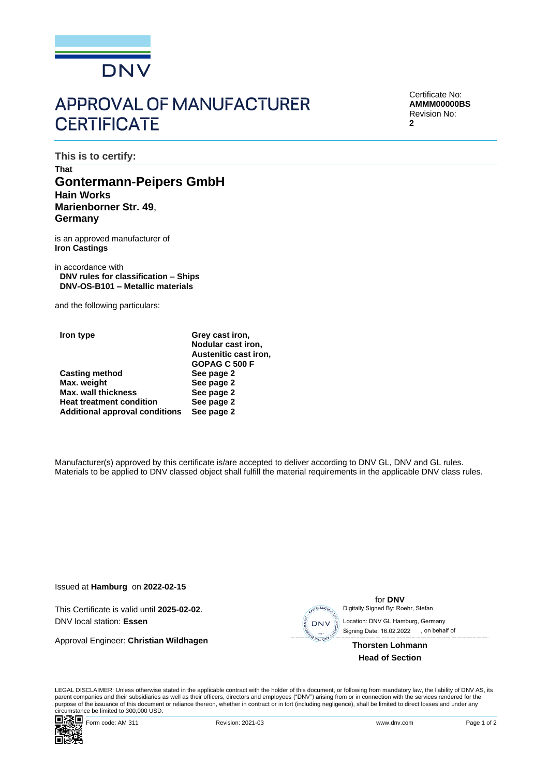

## **APPROVAL OF MANUFACTURER CERTIFICATE**

Certificate No: **AMMM00000BS** Revision No: **2**

**This is to certify:**

## **That Gontermann-Peipers GmbH Hain Works Marienborner Str. 49**, **Germany**

is an approved manufacturer of **Iron Castings**

in accordance with **DNV rules for classification – Ships DNV-OS-B101 – Metallic materials**

and the following particulars:

|   | iron type |     |                          |  |  |
|---|-----------|-----|--------------------------|--|--|
|   |           |     |                          |  |  |
| - | . .       | . . | $\overline{\phantom{0}}$ |  |  |

|                                       | GOPAG C 500 F |
|---------------------------------------|---------------|
| <b>Casting method</b>                 | See page 2    |
| Max. weight                           | See page 2    |
| Max. wall thickness                   | See page 2    |
| <b>Heat treatment condition</b>       | See page 2    |
| <b>Additional approval conditions</b> | See page 2    |

Manufacturer(s) approved by this certificate is/are accepted to deliver according to DNV GL, DNV and GL rules. Materials to be applied to DNV classed object shall fulfill the material requirements in the applicable DNV class rules.

**Grey cast iron, Nodular cast iron, Austenitic cast iron,**

Issued at **Hamburg** on **2022-02-15**

This Certificate is valid until **2025-02-02**. DNV local station: **Essen**

Approval Engineer: **Christian Wildhagen**



 Signing Date: 16.02.2022 , on behalf of**Thorsten Lohmann**

**Head of Section**

for **DNV**

LEGAL DISCLAIMER: Unless otherwise stated in the applicable contract with the holder of this document, or following from mandatory law, the liability of DNV AS, its parent companies and their subsidiaries as well as their officers, directors and employees ("DNV") arising from or in connection with the services rendered for the purpose of the issuance of this document or reliance thereon, whether in contract or in tort (including negligence), shall be limited to direct losses and under any circumstance be limited to 300,000 USD.